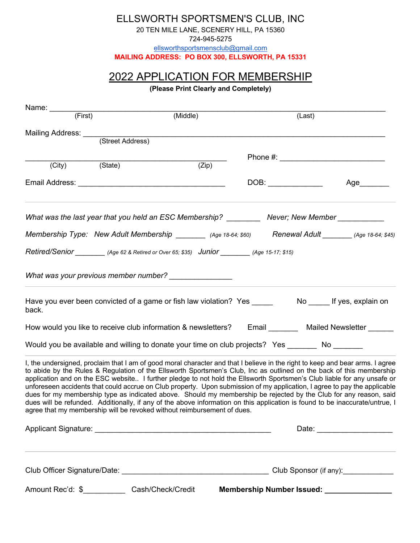ELLSWORTH SPORTSMEN'S CLUB, INC

20 TEN MILE LANE, SCENERY HILL, PA 15360

724-945-5275

ellsworthsportsmensclub@gmail.com

**MAILING ADDRESS: PO BOX 300, ELLSWORTH, PA 15331**

## 2022 APPLICATION FOR MEMBERSHIP

**(Please Print Clearly and Completely)**

| Name: $\frac{1}{\sqrt{1-\frac{1}{1-\frac{1}{1-\frac{1}{1-\frac{1}{1-\frac{1}{1-\frac{1}{1-\frac{1}{1-\frac{1}{1-\frac{1}{1-\frac{1}{1-\frac{1}{1-\frac{1}{1-\frac{1}{1-\frac{1}{1-\frac{1}{1-\frac{1}{1-\frac{1}{1-\frac{1}{1-\frac{1}{1-\frac{1}{1-\frac{1}{1-\frac{1}{1-\frac{1}{1-\frac{1}{1-\frac{1}{1-\frac{1}{1-\frac{1}{1-\frac{1}{1-\frac{1}{1-\frac{1}{1-\frac{1}{1-\frac{1}{1-\frac{1}{1-\frac{1}{1-\$ |                                                                                                                                                                                                                                                                                                                                                                                                                                                                                                                                                                                                                                                                                                                                                                                                                                               | (Middle)           | (Last) |                                            |
|------------------------------------------------------------------------------------------------------------------------------------------------------------------------------------------------------------------------------------------------------------------------------------------------------------------------------------------------------------------------------------------------------------------|-----------------------------------------------------------------------------------------------------------------------------------------------------------------------------------------------------------------------------------------------------------------------------------------------------------------------------------------------------------------------------------------------------------------------------------------------------------------------------------------------------------------------------------------------------------------------------------------------------------------------------------------------------------------------------------------------------------------------------------------------------------------------------------------------------------------------------------------------|--------------------|--------|--------------------------------------------|
|                                                                                                                                                                                                                                                                                                                                                                                                                  |                                                                                                                                                                                                                                                                                                                                                                                                                                                                                                                                                                                                                                                                                                                                                                                                                                               |                    |        |                                            |
|                                                                                                                                                                                                                                                                                                                                                                                                                  | Mailing Address: (Street Address)                                                                                                                                                                                                                                                                                                                                                                                                                                                                                                                                                                                                                                                                                                                                                                                                             |                    |        |                                            |
|                                                                                                                                                                                                                                                                                                                                                                                                                  |                                                                                                                                                                                                                                                                                                                                                                                                                                                                                                                                                                                                                                                                                                                                                                                                                                               |                    |        |                                            |
| (City)                                                                                                                                                                                                                                                                                                                                                                                                           | (State)                                                                                                                                                                                                                                                                                                                                                                                                                                                                                                                                                                                                                                                                                                                                                                                                                                       | $\overline{(Zip)}$ |        |                                            |
|                                                                                                                                                                                                                                                                                                                                                                                                                  |                                                                                                                                                                                                                                                                                                                                                                                                                                                                                                                                                                                                                                                                                                                                                                                                                                               |                    |        | Age_______                                 |
|                                                                                                                                                                                                                                                                                                                                                                                                                  | What was the last year that you held an ESC Membership? __________ Never; New Member _____________                                                                                                                                                                                                                                                                                                                                                                                                                                                                                                                                                                                                                                                                                                                                            |                    |        |                                            |
|                                                                                                                                                                                                                                                                                                                                                                                                                  | Membership Type: New Adult Membership ________ (Age 18-64; \$60) Renewal Adult _______ (Age 18-64; \$45)                                                                                                                                                                                                                                                                                                                                                                                                                                                                                                                                                                                                                                                                                                                                      |                    |        |                                            |
|                                                                                                                                                                                                                                                                                                                                                                                                                  | Retired/Senior __________ (Age 62 & Retired or Over 65; \$35) Junior ________ (Age 15-17; \$15)                                                                                                                                                                                                                                                                                                                                                                                                                                                                                                                                                                                                                                                                                                                                               |                    |        |                                            |
|                                                                                                                                                                                                                                                                                                                                                                                                                  | What was your previous member number? _________________                                                                                                                                                                                                                                                                                                                                                                                                                                                                                                                                                                                                                                                                                                                                                                                       |                    |        |                                            |
| back.                                                                                                                                                                                                                                                                                                                                                                                                            |                                                                                                                                                                                                                                                                                                                                                                                                                                                                                                                                                                                                                                                                                                                                                                                                                                               |                    |        |                                            |
|                                                                                                                                                                                                                                                                                                                                                                                                                  | How would you like to receive club information & newsletters? Email ________ Mailed Newsletter                                                                                                                                                                                                                                                                                                                                                                                                                                                                                                                                                                                                                                                                                                                                                |                    |        |                                            |
|                                                                                                                                                                                                                                                                                                                                                                                                                  | Would you be available and willing to donate your time on club projects? Yes ________ No _______                                                                                                                                                                                                                                                                                                                                                                                                                                                                                                                                                                                                                                                                                                                                              |                    |        |                                            |
|                                                                                                                                                                                                                                                                                                                                                                                                                  | I, the undersigned, proclaim that I am of good moral character and that I believe in the right to keep and bear arms. I agree<br>to abide by the Rules & Regulation of the Ellsworth Sportsmen's Club, Inc as outlined on the back of this membership<br>application and on the ESC website I further pledge to not hold the Ellsworth Sportsmen's Club liable for any unsafe or<br>unforeseen accidents that could accrue on Club property. Upon submission of my application, I agree to pay the applicable<br>dues for my membership type as indicated above. Should my membership be rejected by the Club for any reason, said<br>dues will be refunded. Additionally, if any of the above information on this application is found to be inaccurate/untrue, I<br>agree that my membership will be revoked without reimbursement of dues. |                    |        |                                            |
|                                                                                                                                                                                                                                                                                                                                                                                                                  |                                                                                                                                                                                                                                                                                                                                                                                                                                                                                                                                                                                                                                                                                                                                                                                                                                               |                    |        |                                            |
|                                                                                                                                                                                                                                                                                                                                                                                                                  |                                                                                                                                                                                                                                                                                                                                                                                                                                                                                                                                                                                                                                                                                                                                                                                                                                               |                    |        |                                            |
|                                                                                                                                                                                                                                                                                                                                                                                                                  | Amount Rec'd: \$______________Cash/Check/Credit                                                                                                                                                                                                                                                                                                                                                                                                                                                                                                                                                                                                                                                                                                                                                                                               |                    |        | Membership Number Issued: ________________ |